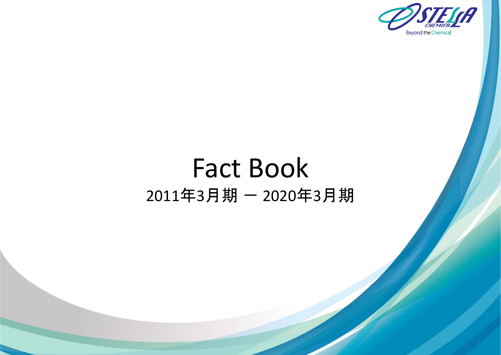

# Fact Book 2011年3月期 ― 2020年3月期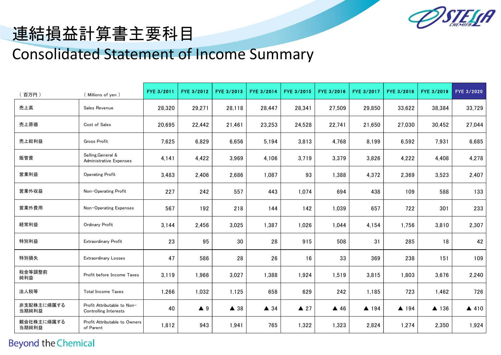

# 連結損益計算書主要科目

#### Consolidated Statement of Income Summary

| 百万円)                | (Millions of yen)                                           | FYE 3/2011 | FYE 3/2012         | FYE 3/2013     | FYE 3/2014     | FYE 3/2015     | FYE 3/2016     | FYE 3/2017 | FYE 3/2018 | FYE 3/2019 | FYE 3/2020      |
|---------------------|-------------------------------------------------------------|------------|--------------------|----------------|----------------|----------------|----------------|------------|------------|------------|-----------------|
| 売上高                 | Sales Revenue                                               | 28,320     | 29,271             | 28,118         | 28,447         | 28,341         | 27,509         | 29,850     | 33,622     | 38,384     | 33,729          |
| 売上原価                | Cost of Sales                                               | 20,695     | 22,442             | 21,461         | 23,253         | 24,528         | 22,741         | 21,650     | 27,030     | 30,452     | 27,044          |
| 売上総利益               | <b>Gross Profit</b>                                         | 7,625      | 6,829              | 6,656          | 5,194          | 3,813          | 4,768          | 8,199      | 6,592      | 7,931      | 6,685           |
| 販管費                 | Selling, General &<br>Administrative Expenses               | 4,141      | 4,422              | 3,969          | 4,106          | 3,719          | 3,379          | 3,826      | 4,222      | 4,408      | 4,278           |
| 営業利益                | <b>Operating Profit</b>                                     | 3,483      | 2,406              | 2,686          | 1,087          | 93             | 1,388          | 4,372      | 2,369      | 3,523      | 2,407           |
| 営業外収益               | Non-Operating Profit                                        | 227        | 242                | 557            | 443            | 1,074          | 694            | 438        | 109        | 588        | 133             |
| 営業外費用               | Non-Operating Expenses                                      | 567        | 192                | 218            | 144            | 142            | 1,039          | 657        | 722        | 301        | 233             |
| 経常利益                | Ordinary Profit                                             | 3,144      | 2,456              | 3,025          | 1,387          | 1,026          | 1,044          | 4,154      | 1,756      | 3,810      | 2,307           |
| 特別利益                | Extraordinary Profit                                        | 23         | 95                 | 30             | 28             | 915            | 508            | 31         | 285        | 18         | 42              |
| 特別損失                | <b>Extraordinary Losses</b>                                 | 47         | 586                | 28             | 26             | 16             | 33             | 369        | 238        | 151        | 109             |
| 税金等調整前<br>純利益       | Profit before Income Taxes                                  | 3,119      | 1,966              | 3,027          | 1,388          | 1,924          | 1,519          | 3,815      | 1,803      | 3,676      | 2,240           |
| 法人税等                | <b>Total Income Taxes</b>                                   | 1,266      | 1,032              | 1,125          | 658            | 629            | 242            | 1,185      | 723        | 1,462      | 726             |
| 非支配株主に帰属する<br>当期純利益 | Profit Attributable to Non-<br><b>Controlling Interests</b> | 40         | $\blacktriangle$ 9 | $\triangle$ 38 | $\triangle$ 34 | $\triangle$ 27 | $\triangle$ 46 | ▲ 194      | ▲ 194      | ▲ 136      | $\triangle$ 410 |
| 親会社株主に帰属する<br>当期純利益 | Profit Attributable to Owners<br>of Parent                  | 1,812      | 943                | 1,941          | 765            | 1,322          | 1,323          | 2,824      | 1,274      | 2,350      | 1,924           |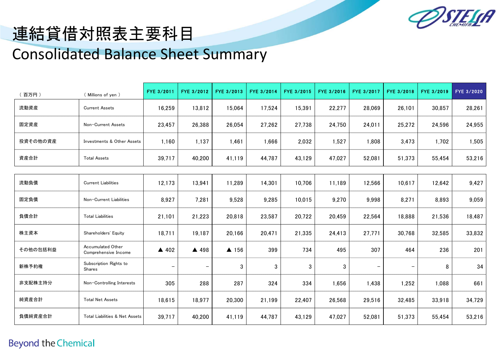

## 連結貸借対照表主要科目 Consolidated Balance Sheet Summary

| 百万円)     | (Millions of yen)                         | FYE 3/2011               | FYE 3/2012               | FYE 3/2013 | FYE 3/2014 | FYE 3/2015 | FYE 3/2016 | FYE 3/2017 | FYE 3/2018 | FYE 3/2019 | FYE 3/2020 |
|----------|-------------------------------------------|--------------------------|--------------------------|------------|------------|------------|------------|------------|------------|------------|------------|
| 流動資産     | <b>Current Assets</b>                     | 16,259                   | 13,812                   | 15,064     | 17,524     | 15,391     | 22,277     | 28,069     | 26,101     | 30,857     | 28,261     |
| 固定資産     | Non-Current Assets                        | 23,457                   | 26,388                   | 26,054     | 27,262     | 27,738     | 24,750     | 24,011     | 25,272     | 24,596     | 24,955     |
| 投資その他の資産 | Investments & Other Assets                | 1,160                    | 1,137                    | 1,461      | 1,666      | 2,032      | 1,527      | 1,808      | 3,473      | 1,702      | 1,505      |
| 資産合計     | <b>Total Assets</b>                       | 39,717                   | 40,200                   | 41,119     | 44,787     | 43,129     | 47,027     | 52,081     | 51,373     | 55,454     | 53,216     |
|          |                                           |                          |                          |            |            |            |            |            |            |            |            |
| 流動負債     | <b>Current Liabilities</b>                | 12,173                   | 13,941                   | 11,289     | 14,301     | 10,706     | 11,189     | 12,566     | 10,617     | 12,642     | 9,427      |
| 固定負債     | Non-Current Liabilities                   | 8,927                    | 7,281                    | 9,528      | 9,285      | 10,015     | 9,270      | 9,998      | 8,271      | 8,893      | 9,059      |
| 負債合計     | <b>Total Liabilities</b>                  | 21,101                   | 21,223                   | 20,818     | 23,587     | 20,722     | 20,459     | 22,564     | 18,888     | 21,536     | 18,487     |
| 株主資本     | Shareholders' Equity                      | 18,711                   | 19,187                   | 20,166     | 20,471     | 21,335     | 24,413     | 27,771     | 30,768     | 32,585     | 33,832     |
| その他の包括利益 | Accumulated Other<br>Comprehensive Income | $\triangle$ 402          | ▲ 498                    | ▲ 156      | 399        | 734        | 495        | 307        | 464        | 236        | 201        |
| 新株予約権    | Subscription Rights to<br>Shares          | $\overline{\phantom{m}}$ | $\overline{\phantom{m}}$ | 3          | 3          | 3          | 3          |            | -          | 8          | 34         |
| 非支配株主持分  | Non-Controlling Interests                 | 305                      | 288                      | 287        | 324        | 334        | 1,656      | 1,438      | 1,252      | 1,088      | 661        |
| 純資産合計    | <b>Total Net Assets</b>                   | 18,615                   | 18,977                   | 20,300     | 21,199     | 22,407     | 26,568     | 29,516     | 32,485     | 33,918     | 34,729     |
| 負債純資産合計  | Total Liabilities & Net Assets            | 39,717                   | 40,200                   | 41,119     | 44,787     | 43,129     | 47,027     | 52,081     | 51,373     | 55,454     | 53,216     |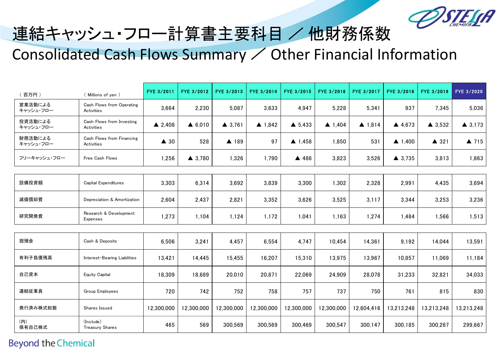

## 連結キャッシュ・フロー計算書主要科目 / 他財務係数 Consolidated Cash Flows Summary / Other Financial Information

| 百万円)                 | (Millions of yen)                         | FYE 3/2011        | FYE 3/2012        | FYE 3/2013        | FYE 3/2014        | FYE 3/2015        | FYE 3/2016        | FYE 3/2017        | FYE 3/2018        | FYE 3/2019        | FYE 3/2020        |
|----------------------|-------------------------------------------|-------------------|-------------------|-------------------|-------------------|-------------------|-------------------|-------------------|-------------------|-------------------|-------------------|
| 営業活動による<br>キャッシュ・フロー | Cash Flows from Operating<br>Activities   | 3,664             | 2,230             | 5,087             | 3,633             | 4,947             | 5,228             | 5,341             | 937               | 7,345             | 5,036             |
| 投資活動による<br>キャッシュ・フロー | Cash Flows from Investing<br>Activities   | $\triangle$ 2,408 | $\triangle$ 6,010 | $\triangle$ 3.761 | $\triangle$ 1,842 | $\triangle$ 5,433 | $\triangle$ 1,404 | $\triangle$ 1,814 | 4,673             | $\triangle$ 3,532 | $\triangle$ 3,173 |
| 財務活動による<br>キャッシュ・フロー | Cash Flows from Financing<br>Activities   | $\triangle$ 30    | 528               | ▲ 189             | 97                | $\triangle$ 1,458 | 1,850             | 531               | $\triangle$ 1,400 | ▲ 321             | $\triangle$ 715   |
| フリーキャッシュ・フロー         | Free Cash Flows                           | 1,256             | $\triangle$ 3.780 | 1,326             | 1,790             | ▲ 486             | 3,823             | 3,526             | $\triangle$ 3,735 | 3,813             | 1,863             |
|                      |                                           |                   |                   |                   |                   |                   |                   |                   |                   |                   |                   |
| 設備投資額                | <b>Capital Expenditures</b>               | 3,303             | 6,314             | 3,692             | 3,839             | 3,300             | 1,302             | 2,328             | 2,991             | 4,435             | 3,694             |
| 減価償却費                | Depreciation & Amortization               | 2,604             | 2,437             | 2,821             | 3,352             | 3,626             | 3,525             | 3,117             | 3,344             | 3,253             | 3,236             |
| 研究開発費                | Research & Development<br><b>Expenses</b> | 1,273             | 1,104             | 1,124             | 1,172             | 1,041             | 1,163             | 1,274             | 1,484             | 1,566             | 1,513             |
|                      |                                           |                   |                   |                   |                   |                   |                   |                   |                   |                   |                   |
| 現預金                  | Cash & Deposits                           | 6,506             | 3,241             | 4,457             | 6,554             | 4,747             | 10,454            | 14,361            | 9,192             | 14,044            | 13,591            |
| 有利子負債残高              | Interest-Bearing Liabilities              | 13,421            | 14,445            | 15,455            | 16,207            | 15,310            | 13,975            | 13,967            | 10,857            | 11,069            | 11,184            |
| 自己資本                 | <b>Equity Capital</b>                     | 18,309            | 18,689            | 20,010            | 20,871            | 22,069            | 24,909            | 28,078            | 31,233            | 32,821            | 34,033            |
| 連結従業員                | Group Employees                           | 720               | 742               | 752               | 758               | 757               | 737               | 750               | 761               | 815               | 830               |
| 発行済み株式総数             | Shares Issued                             | 12,300,000        | 12,300,000        | 12,300,000        | 12,300,000        | 12,300,000        | 12,300,000        | 12,604,416        | 13,213,248        | 13,213,248        | 13,213,248        |
| (内)<br>保有自己株式        | (Include)<br>Treasury Shares              | 465               | 569               | 300,569           | 300,569           | 300,469           | 300,547           | 300,147           | 300,185           | 300,267           | 299,667           |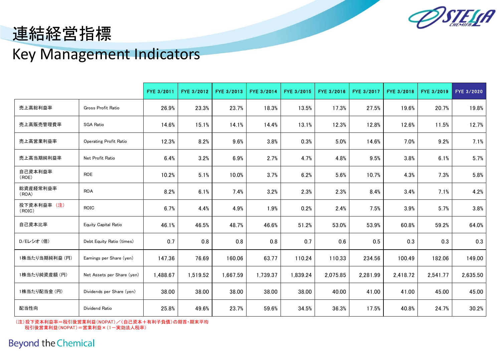

### 連結経営指標

### Key Management Indicators

|                       |                               | FYE 3/2011 | FYE 3/2012 | FYE 3/2013 | FYE 3/2014 | FYE 3/2015 | FYE 3/2016 | FYE 3/2017 | FYE 3/2018 | FYE 3/2019 | FYE 3/2020 |
|-----------------------|-------------------------------|------------|------------|------------|------------|------------|------------|------------|------------|------------|------------|
| 売上高総利益率               | Gross Profit Ratio            | 26.9%      | 23.3%      | 23.7%      | 18.3%      | 13.5%      | 17.3%      | 27.5%      | 19.6%      | 20.7%      | 19.8%      |
| 売上高販売管理費率             | <b>SGA Ratio</b>              | 14.6%      | 15.1%      | 14.1%      | 14.4%      | 13.1%      | 12.3%      | 12.8%      | 12.6%      | 11.5%      | 12.7%      |
| 売上高営業利益率              | <b>Operating Profit Ratio</b> | 12.3%      | 8.2%       | 9.6%       | 3.8%       | 0.3%       | $5.0\%$    | 14.6%      | 7.0%       | 9.2%       | 7.1%       |
| 売上高当期純利益率             | Net Profit Ratio              | 6.4%       | 3.2%       | 6.9%       | 2.7%       | 4.7%       | 4.8%       | 9.5%       | 3.8%       | 6.1%       | 5.7%       |
| 自己資本利益率<br>(ROE)      | <b>ROE</b>                    | 10.2%      | 5.1%       | 10.0%      | 3.7%       | 6.2%       | 5.6%       | 10.7%      | 4.3%       | 7.3%       | $5.8\%$    |
| 総資産経常利益率<br>(ROA)     | <b>ROA</b>                    | 8.2%       | 6.1%       | 7.4%       | 3.2%       | 2.3%       | 2.3%       | 8.4%       | 3.4%       | 7.1%       | 4.2%       |
| 投下資本利益率 (注)<br>(ROIC) | ROIC                          | 6.7%       | 4.4%       | 4.9%       | 1.9%       | 0.2%       | 2.4%       | 7.5%       | 3.9%       | 5.7%       | 3.8%       |
| 自己資本比率                | Equity Capital Ratio          | 46.1%      | 46.5%      | 48.7%      | 46.6%      | 51.2%      | 53.0%      | 53.9%      | 60.8%      | 59.2%      | 64.0%      |
| D/Eレシオ (倍)            | Debt Equity Ratio (times)     | 0.7        | 0.8        | 0.8        | 0.8        | 0.7        | 0.6        | 0.5        | 0.3        | 0.3        | 0.3        |
| 1株当たり当期純利益 (円)        | Earnings per Share (yen)      | 147.36     | 76.69      | 160.06     | 63.77      | 110.24     | 110.33     | 234.56     | 100.49     | 182.06     | 149.00     |
| 1株当たり純資産額 (円)         | Net Assets per Share (yen)    | 1,488.67   | 1,519.52   | 1,667.59   | 1,739.37   | 1,839.24   | 2,075.85   | 2,281.99   | 2,418.72   | 2,541.77   | 2,635.50   |
| 1株当たり配当金 (円)          | Dividends per Share (yen)     | 38.00      | 38.00      | 38.00      | 38.00      | 38.00      | 40.00      | 41.00      | 41.00      | 45.00      | 45.00      |
| 配当性向                  | Dividend Ratio                | 25.8%      | 49.6%      | 23.7%      | 59.6%      | 34.5%      | 36.3%      | 17.5%      | 40.8%      | 24.7%      | 30.2%      |

(注)投下資本利益率=税引後営業利益(NOPAT)/(自己資本+有利子負債)の期首・期末平均 税引後営業利益(NOPAT)=営業利益×(1-実効法人税率)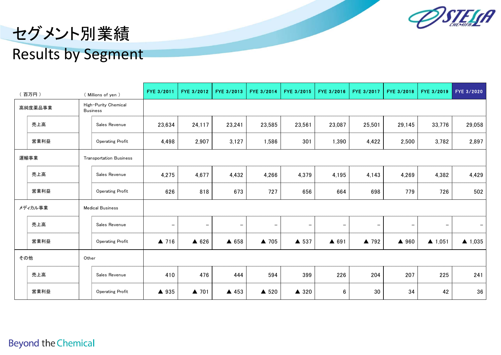

# セグメント別業績

#### Results by Segment

|      | (百万円)   |       | (Millions of yen)                       | FYE 3/2011               | FYE 3/2012               | FYE 3/2013        | FYE 3/2014               | FYE 3/2015        | FYE 3/2016      | FYE 3/2017           | FYE 3/2018               | FYE 3/2019               | FYE 3/2020        |
|------|---------|-------|-----------------------------------------|--------------------------|--------------------------|-------------------|--------------------------|-------------------|-----------------|----------------------|--------------------------|--------------------------|-------------------|
|      | 高純度薬品事業 |       | High-Purity Chemical<br><b>Business</b> |                          |                          |                   |                          |                   |                 |                      |                          |                          |                   |
|      | 売上高     |       | Sales Revenue                           | 23,634                   | 24,117                   | 23,241            | 23,585                   | 23,561            | 23,087          | 25,501               | 29,145                   | 33,776                   | 29,058            |
|      | 営業利益    |       | <b>Operating Profit</b>                 | 4,498                    | 2,907                    | 3,127             | 1,586                    | 301               | 1,390           | 4,422                | 2,500                    | 3,782                    | 2,897             |
| 運輸事業 |         |       | <b>Transportation Business</b>          |                          |                          |                   |                          |                   |                 |                      |                          |                          |                   |
|      | 売上高     |       | Sales Revenue                           | 4,275                    | 4,677                    | 4,432             | 4,266                    | 4,379             | 4,195           | 4,143                | 4,269                    | 4,382                    | 4,429             |
|      | 営業利益    |       | <b>Operating Profit</b>                 | 626                      | 818                      | 673               | 727                      | 656               | 664             | 698                  | 779                      | 726                      | 502               |
|      | メディカル事業 |       | <b>Medical Business</b>                 |                          |                          |                   |                          |                   |                 |                      |                          |                          |                   |
|      | 売上高     |       | Sales Revenue                           | $\overline{\phantom{m}}$ | $\overline{\phantom{m}}$ | $\qquad \qquad -$ | $\overline{\phantom{m}}$ | $\qquad \qquad -$ | -               |                      | $\overline{\phantom{m}}$ | $\overline{\phantom{m}}$ | $-$               |
|      | 営業利益    |       | <b>Operating Profit</b>                 | $\triangle$ 716          | $\triangle$ 626          | $\triangle$ 658   | ▲ 705                    | ▲ 537             | $\triangle$ 691 | $\blacktriangle$ 792 | ▲ 960                    | $\triangle$ 1,051        | $\triangle$ 1,035 |
| その他  |         | Other |                                         |                          |                          |                   |                          |                   |                 |                      |                          |                          |                   |
|      | 売上高     |       | Sales Revenue                           | 410                      | 476                      | 444               | 594                      | 399               | 226             | 204                  | 207                      | 225                      | 241               |
|      | 営業利益    |       | <b>Operating Profit</b>                 | ▲ 935                    | ▲ 701                    | ▲ 453             | ▲ 520                    | $\triangle$ 320   | 6               | 30                   | 34                       | 42                       | 36                |